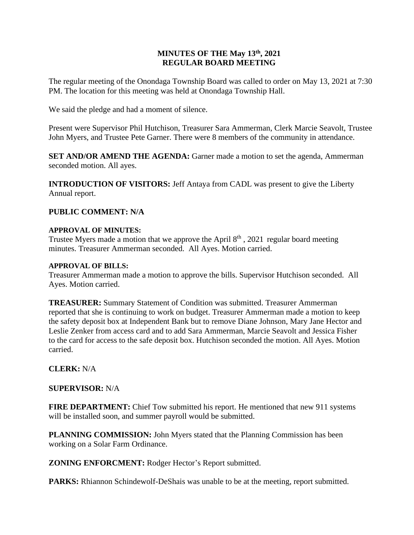# **MINUTES OF THE May 13 th , 2021 REGULAR BOARD MEETING**

The regular meeting of the Onondaga Township Board was called to order on May 13, 2021 at 7:30 PM. The location for this meeting was held at Onondaga Township Hall.

We said the pledge and had a moment of silence.

Present were Supervisor Phil Hutchison, Treasurer Sara Ammerman, Clerk Marcie Seavolt, Trustee John Myers, and Trustee Pete Garner. There were 8 members of the community in attendance.

**SET AND/OR AMEND THE AGENDA:** Garner made a motion to set the agenda, Ammerman seconded motion. All ayes.

**INTRODUCTION OF VISITORS:** Jeff Antaya from CADL was present to give the Liberty Annual report.

# **PUBLIC COMMENT: N/A**

### **APPROVAL OF MINUTES:**

Trustee Myers made a motion that we approve the April  $8<sup>th</sup>$ , 2021 regular board meeting minutes. Treasurer Ammerman seconded. All Ayes. Motion carried.

### **APPROVAL OF BILLS:**

Treasurer Ammerman made a motion to approve the bills. Supervisor Hutchison seconded. All Ayes. Motion carried.

**TREASURER:** Summary Statement of Condition was submitted. Treasurer Ammerman reported that she is continuing to work on budget. Treasurer Ammerman made a motion to keep the safety deposit box at Independent Bank but to remove Diane Johnson, Mary Jane Hector and Leslie Zenker from access card and to add Sara Ammerman, Marcie Seavolt and Jessica Fisher to the card for access to the safe deposit box. Hutchison seconded the motion. All Ayes. Motion carried.

### **CLERK:** N/A

### **SUPERVISOR:** N/A

**FIRE DEPARTMENT:** Chief Tow submitted his report. He mentioned that new 911 systems will be installed soon, and summer payroll would be submitted.

**PLANNING COMMISSION:** John Myers stated that the Planning Commission has been working on a Solar Farm Ordinance.

**ZONING ENFORCMENT:** Rodger Hector's Report submitted.

**PARKS:** Rhiannon Schindewolf-DeShais was unable to be at the meeting, report submitted.